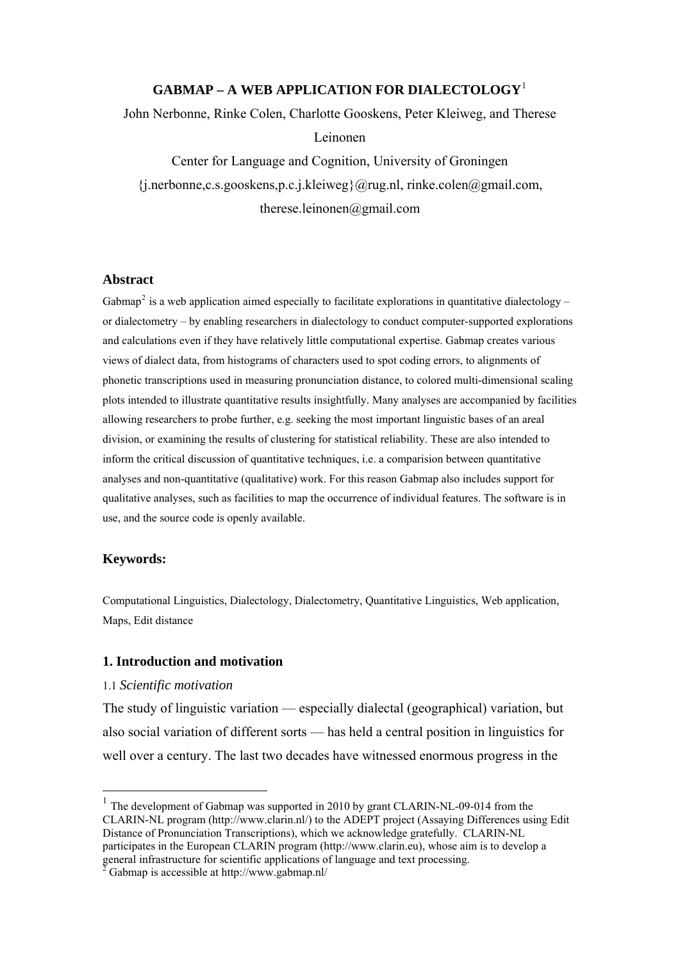# **GABMAP – A WEB APPLICATION FOR DIALECTOLOGY**[1](#page-0-0)

John Nerbonne, Rinke Colen, Charlotte Gooskens, Peter Kleiweg, and Therese

#### Leinonen

Center for Language and Cognition, University of Groningen  $\{j_{.}n\}$ .nerbonne,c.s.gooskens,p.c.j.kleiweg $\{a_{r}u$ g.nl, rinke.colen $a_{.}g$ mail.com, therese.leinonen@gmail.com

#### **Abstract**

Gabmap<sup>[2](#page-0-1)</sup> is a web application aimed especially to facilitate explorations in quantitative dialectology – or dialectometry – by enabling researchers in dialectology to conduct computer-supported explorations and calculations even if they have relatively little computational expertise. Gabmap creates various views of dialect data, from histograms of characters used to spot coding errors, to alignments of phonetic transcriptions used in measuring pronunciation distance, to colored multi-dimensional scaling plots intended to illustrate quantitative results insightfully. Many analyses are accompanied by facilities allowing researchers to probe further, e.g. seeking the most important linguistic bases of an areal division, or examining the results of clustering for statistical reliability. These are also intended to inform the critical discussion of quantitative techniques, i.e. a comparision between quantitative analyses and non-quantitative (qualitative) work. For this reason Gabmap also includes support for qualitative analyses, such as facilities to map the occurrence of individual features. The software is in use, and the source code is openly available.

## **Keywords:**

 $\overline{a}$ 

Computational Linguistics, Dialectology, Dialectometry, Quantitative Linguistics, Web application, Maps, Edit distance

#### **1. Introduction and motivation**

#### 1.1 *Scientific motivation*

The study of linguistic variation — especially dialectal (geographical) variation, but also social variation of different sorts — has held a central position in linguistics for well over a century. The last two decades have witnessed enormous progress in the

<span id="page-0-0"></span><sup>&</sup>lt;sup>1</sup> The development of Gabmap was supported in 2010 by grant CLARIN-NL-09-014 from the CLARIN-NL program (http://www.clarin.nl/) to the ADEPT project (Assaying Differences using Edit Distance of Pronunciation Transcriptions), which we acknowledge gratefully. CLARIN-NL participates in the European CLARIN program (http://www.clarin.eu), whose aim is to develop a general infrastructure for scientific applications of language and text processing. 2 Gabmap is accessible at http://www.gabmap.nl/

<span id="page-0-1"></span>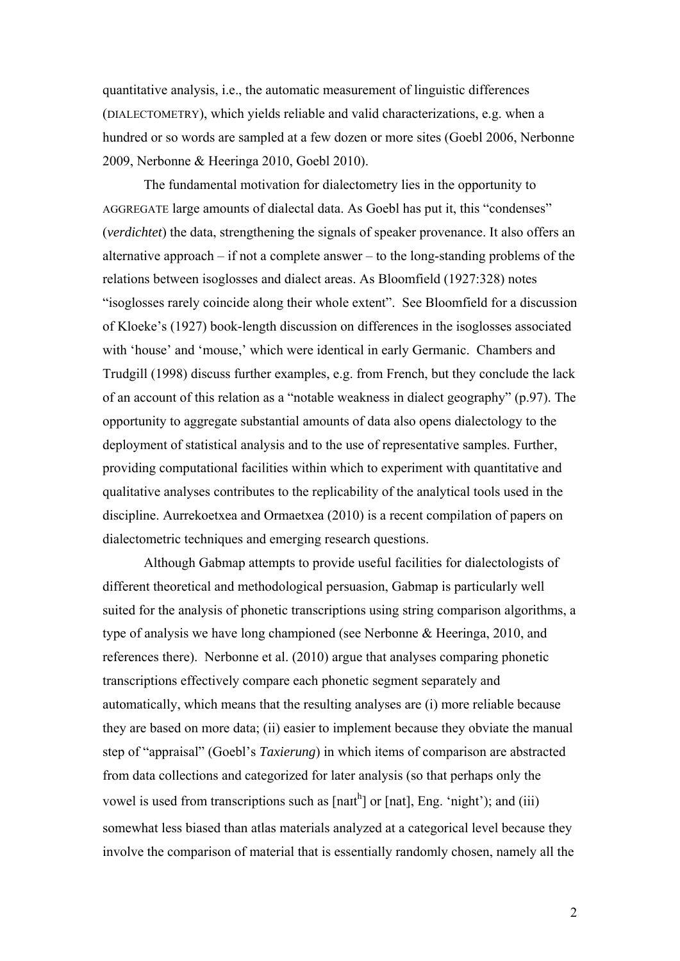quantitative analysis, i.e., the automatic measurement of linguistic differences (DIALECTOMETRY), which yields reliable and valid characterizations, e.g. when a hundred or so words are sampled at a few dozen or more sites (Goebl 2006, Nerbonne 2009, Nerbonne & Heeringa 2010, Goebl 2010).

 The fundamental motivation for dialectometry lies in the opportunity to AGGREGATE large amounts of dialectal data. As Goebl has put it, this "condenses" (*verdichtet*) the data, strengthening the signals of speaker provenance. It also offers an alternative approach – if not a complete answer – to the long-standing problems of the relations between isoglosses and dialect areas. As Bloomfield (1927:328) notes "isoglosses rarely coincide along their whole extent". See Bloomfield for a discussion of Kloeke's (1927) book-length discussion on differences in the isoglosses associated with 'house' and 'mouse,' which were identical in early Germanic. Chambers and Trudgill (1998) discuss further examples, e.g. from French, but they conclude the lack of an account of this relation as a "notable weakness in dialect geography" (p.97). The opportunity to aggregate substantial amounts of data also opens dialectology to the deployment of statistical analysis and to the use of representative samples. Further, providing computational facilities within which to experiment with quantitative and qualitative analyses contributes to the replicability of the analytical tools used in the discipline. Aurrekoetxea and Ormaetxea (2010) is a recent compilation of papers on dialectometric techniques and emerging research questions.

Although Gabmap attempts to provide useful facilities for dialectologists of different theoretical and methodological persuasion, Gabmap is particularly well suited for the analysis of phonetic transcriptions using string comparison algorithms, a type of analysis we have long championed (see Nerbonne & Heeringa, 2010, and references there). Nerbonne et al. (2010) argue that analyses comparing phonetic transcriptions effectively compare each phonetic segment separately and automatically, which means that the resulting analyses are (i) more reliable because they are based on more data; (ii) easier to implement because they obviate the manual step of "appraisal" (Goebl's *Taxierung*) in which items of comparison are abstracted from data collections and categorized for later analysis (so that perhaps only the vowel is used from transcriptions such as  $[nant<sup>h</sup>]$  or  $[nat]$ , Eng. 'night'); and (iii) somewhat less biased than atlas materials analyzed at a categorical level because they involve the comparison of material that is essentially randomly chosen, namely all the

2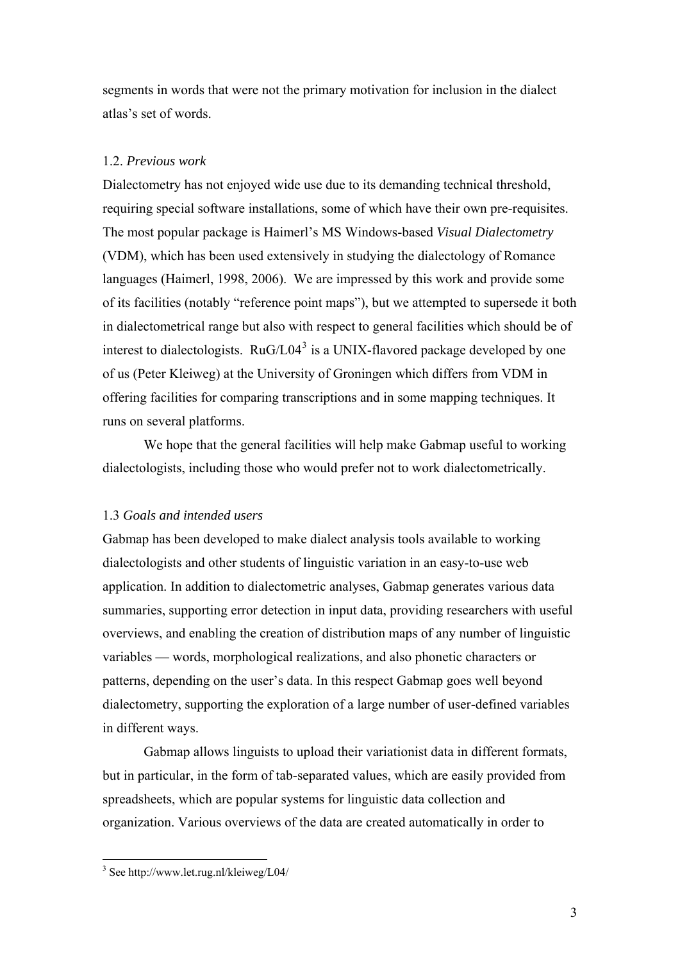segments in words that were not the primary motivation for inclusion in the dialect atlas's set of words.

## 1.2. *Previous work*

Dialectometry has not enjoyed wide use due to its demanding technical threshold, requiring special software installations, some of which have their own pre-requisites. The most popular package is Haimerl's MS Windows-based *Visual Dialectometry* (VDM), which has been used extensively in studying the dialectology of Romance languages (Haimerl, 1998, 2006). We are impressed by this work and provide some of its facilities (notably "reference point maps"), but we attempted to supersede it both in dialectometrical range but also with respect to general facilities which should be of interest to dialectologists.  $RuG/L04^3$  $RuG/L04^3$  is a UNIX-flavored package developed by one of us (Peter Kleiweg) at the University of Groningen which differs from VDM in offering facilities for comparing transcriptions and in some mapping techniques. It runs on several platforms.

We hope that the general facilities will help make Gabmap useful to working dialectologists, including those who would prefer not to work dialectometrically.

## 1.3 *Goals and intended users*

Gabmap has been developed to make dialect analysis tools available to working dialectologists and other students of linguistic variation in an easy-to-use web application. In addition to dialectometric analyses, Gabmap generates various data summaries, supporting error detection in input data, providing researchers with useful overviews, and enabling the creation of distribution maps of any number of linguistic variables — words, morphological realizations, and also phonetic characters or patterns, depending on the user's data. In this respect Gabmap goes well beyond dialectometry, supporting the exploration of a large number of user-defined variables in different ways.

Gabmap allows linguists to upload their variationist data in different formats, but in particular, in the form of tab-separated values, which are easily provided from spreadsheets, which are popular systems for linguistic data collection and organization. Various overviews of the data are created automatically in order to

<span id="page-2-0"></span><sup>&</sup>lt;sup>3</sup> See http://www.let.rug.nl/kleiweg/L04/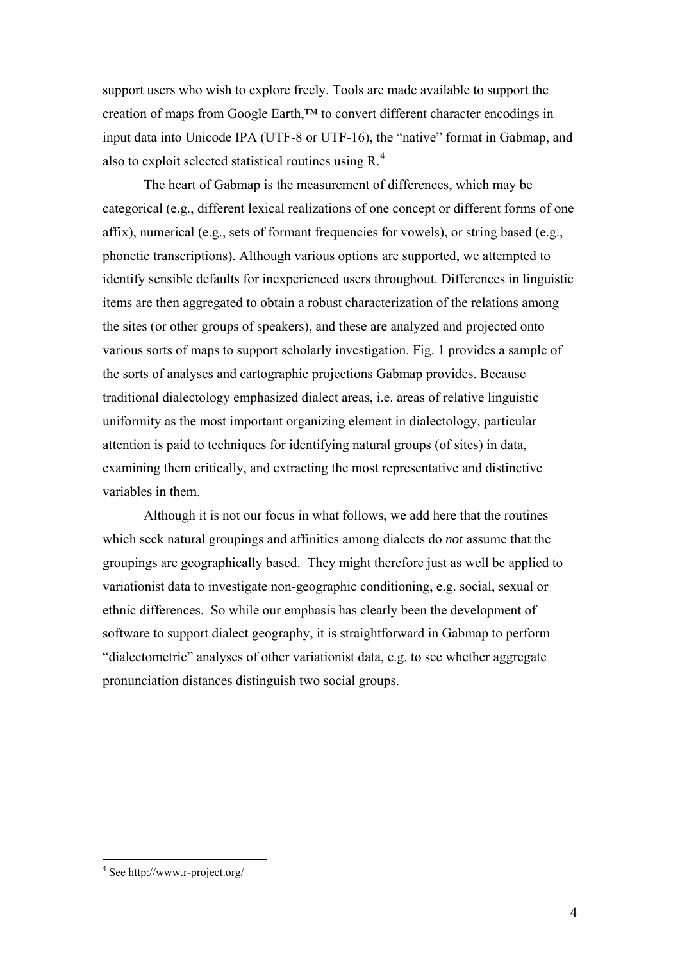support users who wish to explore freely. Tools are made available to support the creation of maps from Google Earth,™ to convert different character encodings in input data into Unicode IPA (UTF-8 or UTF-16), the "native" format in Gabmap, and also to exploit selected statistical routines using R.<sup>[4](#page-3-0)</sup>

The heart of Gabmap is the measurement of differences, which may be categorical (e.g., different lexical realizations of one concept or different forms of one affix), numerical (e.g., sets of formant frequencies for vowels), or string based (e.g., phonetic transcriptions). Although various options are supported, we attempted to identify sensible defaults for inexperienced users throughout. Differences in linguistic items are then aggregated to obtain a robust characterization of the relations among the sites (or other groups of speakers), and these are analyzed and projected onto various sorts of maps to support scholarly investigation. Fig. 1 provides a sample of the sorts of analyses and cartographic projections Gabmap provides. Because traditional dialectology emphasized dialect areas, i.e. areas of relative linguistic uniformity as the most important organizing element in dialectology, particular attention is paid to techniques for identifying natural groups (of sites) in data, examining them critically, and extracting the most representative and distinctive variables in them.

Although it is not our focus in what follows, we add here that the routines which seek natural groupings and affinities among dialects do *not* assume that the groupings are geographically based. They might therefore just as well be applied to variationist data to investigate non-geographic conditioning, e.g. social, sexual or ethnic differences. So while our emphasis has clearly been the development of software to support dialect geography, it is straightforward in Gabmap to perform "dialectometric" analyses of other variationist data, e.g. to see whether aggregate pronunciation distances distinguish two social groups.

<span id="page-3-0"></span> 4 See http://www.r-project.org/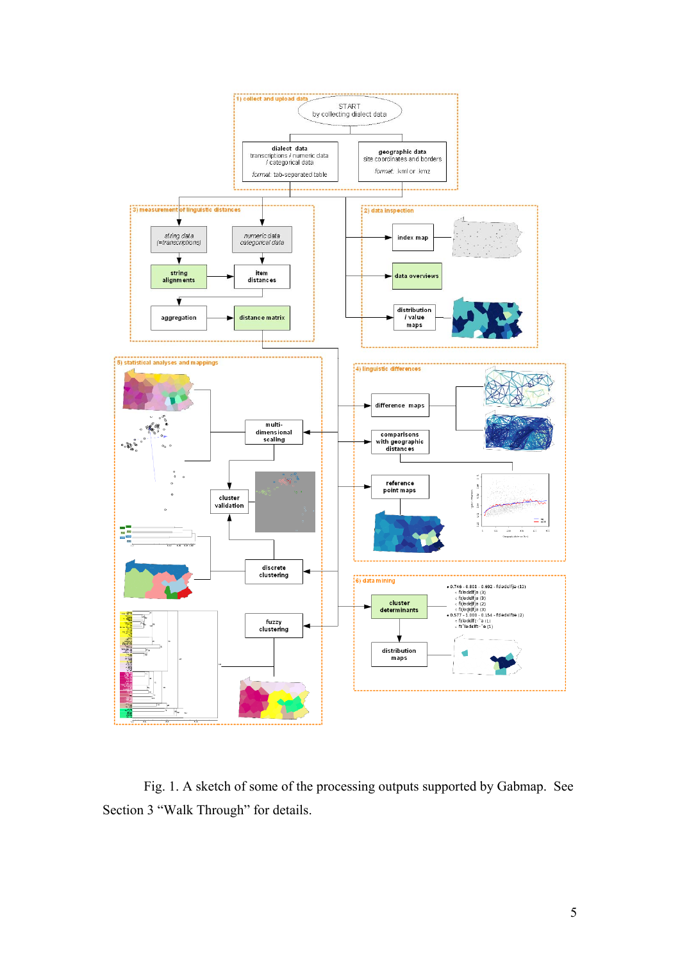

Fig. 1. A sketch of some of the processing outputs supported by Gabmap. See Section 3 "Walk Through" for details.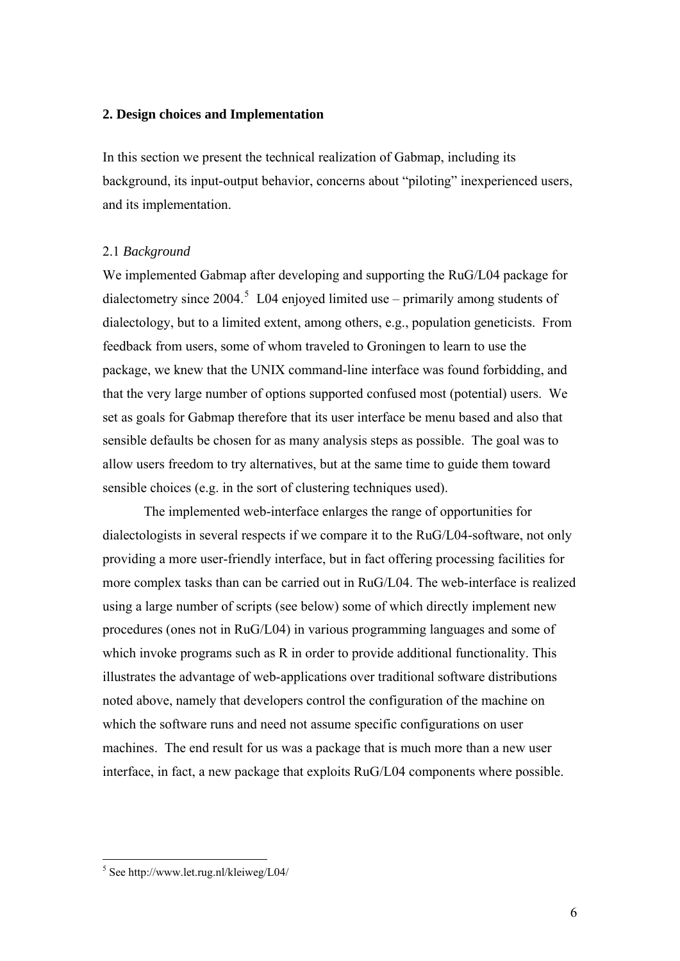### **2. Design choices and Implementation**

In this section we present the technical realization of Gabmap, including its background, its input-output behavior, concerns about "piloting" inexperienced users, and its implementation.

## 2.1 *Background*

We implemented Gabmap after developing and supporting the RuG/L04 package for dialectometry since 2004.<sup>[5](#page-5-0)</sup> L04 enjoyed limited use – primarily among students of dialectology, but to a limited extent, among others, e.g., population geneticists. From feedback from users, some of whom traveled to Groningen to learn to use the package, we knew that the UNIX command-line interface was found forbidding, and that the very large number of options supported confused most (potential) users. We set as goals for Gabmap therefore that its user interface be menu based and also that sensible defaults be chosen for as many analysis steps as possible. The goal was to allow users freedom to try alternatives, but at the same time to guide them toward sensible choices (e.g. in the sort of clustering techniques used).

The implemented web-interface enlarges the range of opportunities for dialectologists in several respects if we compare it to the RuG/L04-software, not only providing a more user-friendly interface, but in fact offering processing facilities for more complex tasks than can be carried out in RuG/L04. The web-interface is realized using a large number of scripts (see below) some of which directly implement new procedures (ones not in RuG/L04) in various programming languages and some of which invoke programs such as R in order to provide additional functionality. This illustrates the advantage of web-applications over traditional software distributions noted above, namely that developers control the configuration of the machine on which the software runs and need not assume specific configurations on user machines. The end result for us was a package that is much more than a new user interface, in fact, a new package that exploits RuG/L04 components where possible.

<span id="page-5-0"></span> 5 See http://www.let.rug.nl/kleiweg/L04/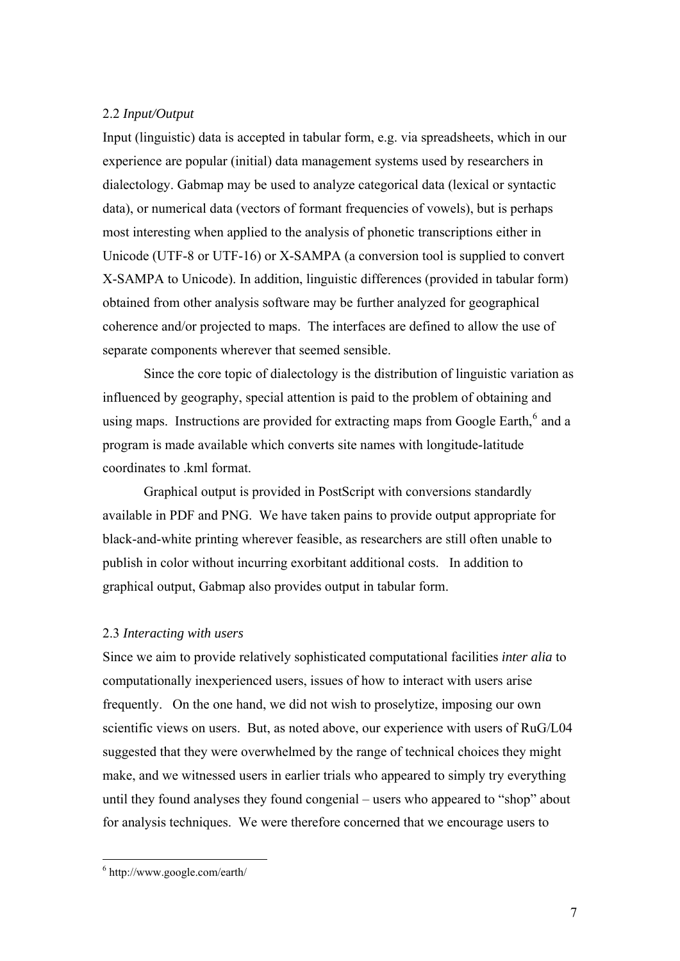## 2.2 *Input/Output*

Input (linguistic) data is accepted in tabular form, e.g. via spreadsheets, which in our experience are popular (initial) data management systems used by researchers in dialectology. Gabmap may be used to analyze categorical data (lexical or syntactic data), or numerical data (vectors of formant frequencies of vowels), but is perhaps most interesting when applied to the analysis of phonetic transcriptions either in Unicode (UTF-8 or UTF-16) or X-SAMPA (a conversion tool is supplied to convert X-SAMPA to Unicode). In addition, linguistic differences (provided in tabular form) obtained from other analysis software may be further analyzed for geographical coherence and/or projected to maps. The interfaces are defined to allow the use of separate components wherever that seemed sensible.

Since the core topic of dialectology is the distribution of linguistic variation as influenced by geography, special attention is paid to the problem of obtaining and using maps. Instructions are provided for extracting maps from Google Earth, $^6$  $^6$  and a program is made available which converts site names with longitude-latitude coordinates to .kml format.

Graphical output is provided in PostScript with conversions standardly available in PDF and PNG. We have taken pains to provide output appropriate for black-and-white printing wherever feasible, as researchers are still often unable to publish in color without incurring exorbitant additional costs. In addition to graphical output, Gabmap also provides output in tabular form.

#### 2.3 *Interacting with users*

Since we aim to provide relatively sophisticated computational facilities *inter alia* to computationally inexperienced users, issues of how to interact with users arise frequently. On the one hand, we did not wish to proselytize, imposing our own scientific views on users. But, as noted above, our experience with users of RuG/L04 suggested that they were overwhelmed by the range of technical choices they might make, and we witnessed users in earlier trials who appeared to simply try everything until they found analyses they found congenial – users who appeared to "shop" about for analysis techniques. We were therefore concerned that we encourage users to

 $\overline{a}$ 

<span id="page-6-0"></span><sup>6</sup> http://www.google.com/earth/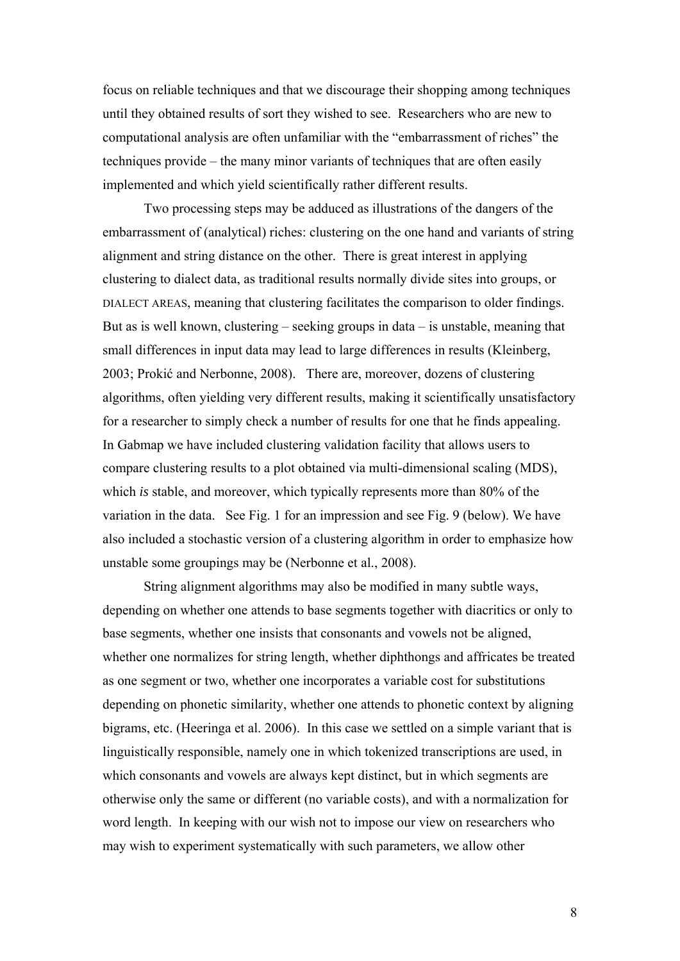focus on reliable techniques and that we discourage their shopping among techniques until they obtained results of sort they wished to see. Researchers who are new to computational analysis are often unfamiliar with the "embarrassment of riches" the techniques provide – the many minor variants of techniques that are often easily implemented and which yield scientifically rather different results.

Two processing steps may be adduced as illustrations of the dangers of the embarrassment of (analytical) riches: clustering on the one hand and variants of string alignment and string distance on the other. There is great interest in applying clustering to dialect data, as traditional results normally divide sites into groups, or DIALECT AREAS, meaning that clustering facilitates the comparison to older findings. But as is well known, clustering – seeking groups in data – is unstable, meaning that small differences in input data may lead to large differences in results (Kleinberg, 2003; Prokić and Nerbonne, 2008). There are, moreover, dozens of clustering algorithms, often yielding very different results, making it scientifically unsatisfactory for a researcher to simply check a number of results for one that he finds appealing. In Gabmap we have included clustering validation facility that allows users to compare clustering results to a plot obtained via multi-dimensional scaling (MDS), which *is* stable, and moreover, which typically represents more than 80% of the variation in the data. See Fig. 1 for an impression and see Fig. 9 (below). We have also included a stochastic version of a clustering algorithm in order to emphasize how unstable some groupings may be (Nerbonne et al., 2008).

String alignment algorithms may also be modified in many subtle ways, depending on whether one attends to base segments together with diacritics or only to base segments, whether one insists that consonants and vowels not be aligned, whether one normalizes for string length, whether diphthongs and affricates be treated as one segment or two, whether one incorporates a variable cost for substitutions depending on phonetic similarity, whether one attends to phonetic context by aligning bigrams, etc. (Heeringa et al. 2006). In this case we settled on a simple variant that is linguistically responsible, namely one in which tokenized transcriptions are used, in which consonants and vowels are always kept distinct, but in which segments are otherwise only the same or different (no variable costs), and with a normalization for word length. In keeping with our wish not to impose our view on researchers who may wish to experiment systematically with such parameters, we allow other

8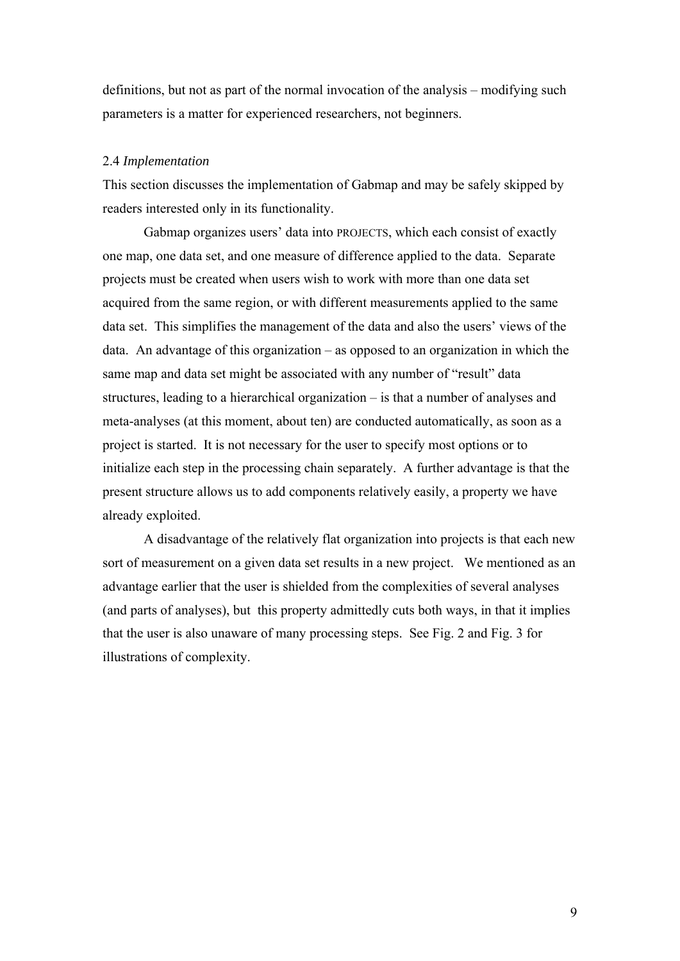definitions, but not as part of the normal invocation of the analysis – modifying such parameters is a matter for experienced researchers, not beginners.

#### 2.4 *Implementation*

This section discusses the implementation of Gabmap and may be safely skipped by readers interested only in its functionality.

Gabmap organizes users' data into PROJECTS, which each consist of exactly one map, one data set, and one measure of difference applied to the data. Separate projects must be created when users wish to work with more than one data set acquired from the same region, or with different measurements applied to the same data set. This simplifies the management of the data and also the users' views of the data. An advantage of this organization – as opposed to an organization in which the same map and data set might be associated with any number of "result" data structures, leading to a hierarchical organization – is that a number of analyses and meta-analyses (at this moment, about ten) are conducted automatically, as soon as a project is started. It is not necessary for the user to specify most options or to initialize each step in the processing chain separately. A further advantage is that the present structure allows us to add components relatively easily, a property we have already exploited.

A disadvantage of the relatively flat organization into projects is that each new sort of measurement on a given data set results in a new project. We mentioned as an advantage earlier that the user is shielded from the complexities of several analyses (and parts of analyses), but this property admittedly cuts both ways, in that it implies that the user is also unaware of many processing steps. See Fig. 2 and Fig. 3 for illustrations of complexity.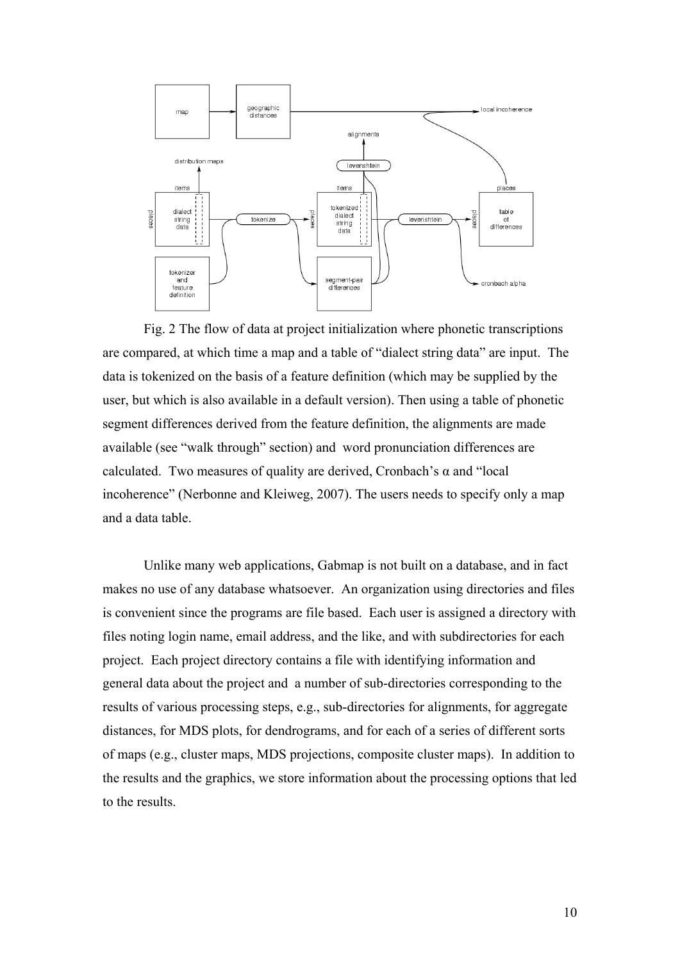

Fig. 2 The flow of data at project initialization where phonetic transcriptions are compared, at which time a map and a table of "dialect string data" are input. The data is tokenized on the basis of a feature definition (which may be supplied by the user, but which is also available in a default version). Then using a table of phonetic segment differences derived from the feature definition, the alignments are made available (see "walk through" section) and word pronunciation differences are calculated. Two measures of quality are derived. Cronbach's  $\alpha$  and "local incoherence" (Nerbonne and Kleiweg, 2007). The users needs to specify only a map and a data table.

Unlike many web applications, Gabmap is not built on a database, and in fact makes no use of any database whatsoever. An organization using directories and files is convenient since the programs are file based. Each user is assigned a directory with files noting login name, email address, and the like, and with subdirectories for each project. Each project directory contains a file with identifying information and general data about the project and a number of sub-directories corresponding to the results of various processing steps, e.g., sub-directories for alignments, for aggregate distances, for MDS plots, for dendrograms, and for each of a series of different sorts of maps (e.g., cluster maps, MDS projections, composite cluster maps). In addition to the results and the graphics, we store information about the processing options that led to the results.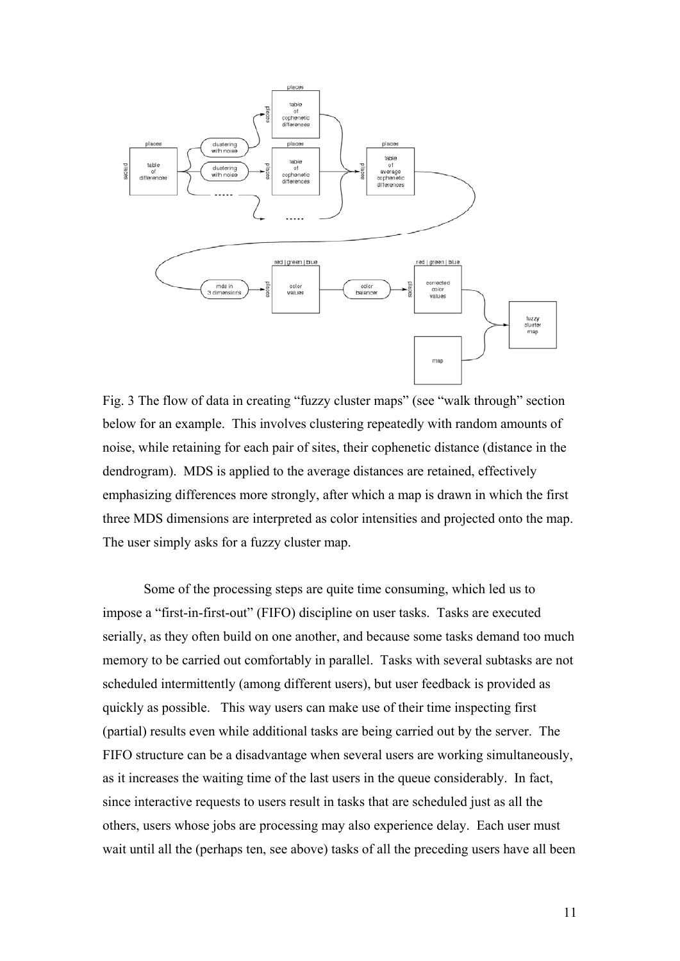

Fig. 3 The flow of data in creating "fuzzy cluster maps" (see "walk through" section below for an example. This involves clustering repeatedly with random amounts of noise, while retaining for each pair of sites, their cophenetic distance (distance in the dendrogram). MDS is applied to the average distances are retained, effectively emphasizing differences more strongly, after which a map is drawn in which the first three MDS dimensions are interpreted as color intensities and projected onto the map. The user simply asks for a fuzzy cluster map.

Some of the processing steps are quite time consuming, which led us to impose a "first-in-first-out" (FIFO) discipline on user tasks. Tasks are executed serially, as they often build on one another, and because some tasks demand too much memory to be carried out comfortably in parallel. Tasks with several subtasks are not scheduled intermittently (among different users), but user feedback is provided as quickly as possible. This way users can make use of their time inspecting first (partial) results even while additional tasks are being carried out by the server. The FIFO structure can be a disadvantage when several users are working simultaneously, as it increases the waiting time of the last users in the queue considerably. In fact, since interactive requests to users result in tasks that are scheduled just as all the others, users whose jobs are processing may also experience delay. Each user must wait until all the (perhaps ten, see above) tasks of all the preceding users have all been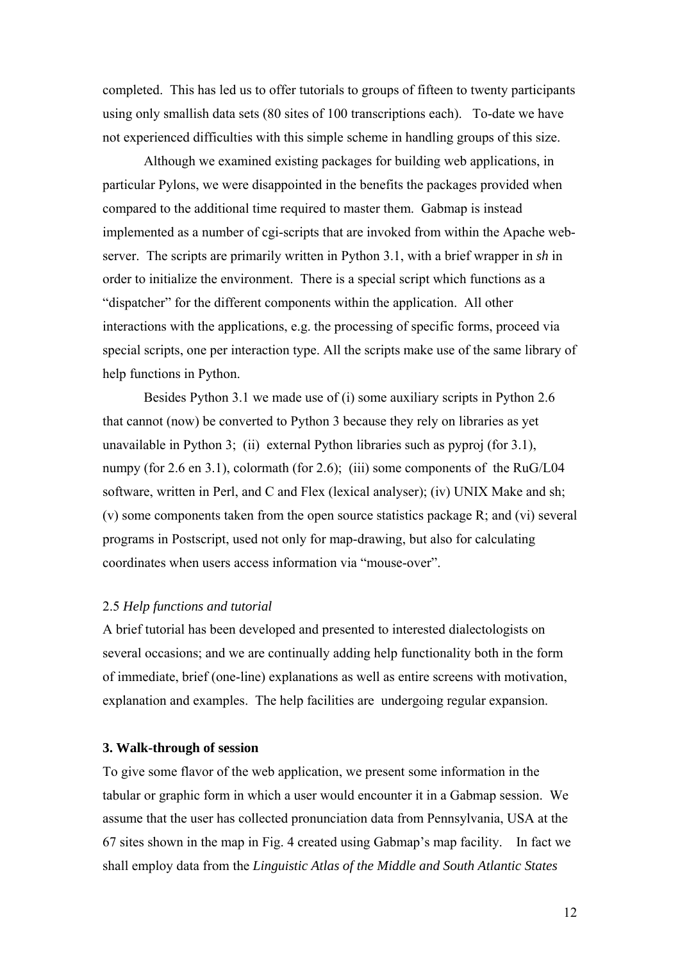completed. This has led us to offer tutorials to groups of fifteen to twenty participants using only smallish data sets (80 sites of 100 transcriptions each). To-date we have not experienced difficulties with this simple scheme in handling groups of this size.

Although we examined existing packages for building web applications, in particular Pylons, we were disappointed in the benefits the packages provided when compared to the additional time required to master them. Gabmap is instead implemented as a number of cgi-scripts that are invoked from within the Apache webserver. The scripts are primarily written in Python 3.1, with a brief wrapper in *sh* in order to initialize the environment. There is a special script which functions as a "dispatcher" for the different components within the application. All other interactions with the applications, e.g. the processing of specific forms, proceed via special scripts, one per interaction type. All the scripts make use of the same library of help functions in Python.

Besides Python 3.1 we made use of (i) some auxiliary scripts in Python 2.6 that cannot (now) be converted to Python 3 because they rely on libraries as yet unavailable in Python 3; (ii) external Python libraries such as pyproj (for 3.1), numpy (for 2.6 en 3.1), colormath (for 2.6); (iii) some components of the RuG/L04 software, written in Perl, and C and Flex (lexical analyser); (iv) UNIX Make and sh; (v) some components taken from the open source statistics package R; and (vi) several programs in Postscript, used not only for map-drawing, but also for calculating coordinates when users access information via "mouse-over".

## 2.5 *Help functions and tutorial*

A brief tutorial has been developed and presented to interested dialectologists on several occasions; and we are continually adding help functionality both in the form of immediate, brief (one-line) explanations as well as entire screens with motivation, explanation and examples. The help facilities are undergoing regular expansion.

## **3. Walk-through of session**

To give some flavor of the web application, we present some information in the tabular or graphic form in which a user would encounter it in a Gabmap session. We assume that the user has collected pronunciation data from Pennsylvania, USA at the 67 sites shown in the map in Fig. 4 created using Gabmap's map facility. In fact we shall employ data from the *Linguistic Atlas of the Middle and South Atlantic States*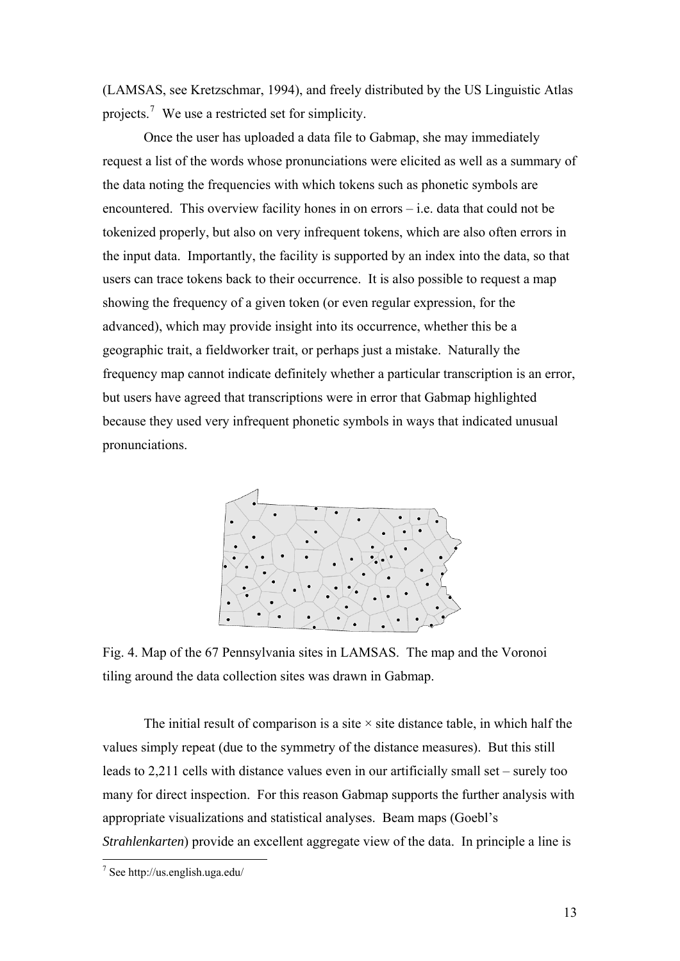(LAMSAS, see Kretzschmar, 1994), and freely distributed by the US Linguistic Atlas projects.<sup>[7](#page-12-0)</sup> We use a restricted set for simplicity.

Once the user has uploaded a data file to Gabmap, she may immediately request a list of the words whose pronunciations were elicited as well as a summary of the data noting the frequencies with which tokens such as phonetic symbols are encountered. This overview facility hones in on errors – i.e. data that could not be tokenized properly, but also on very infrequent tokens, which are also often errors in the input data. Importantly, the facility is supported by an index into the data, so that users can trace tokens back to their occurrence. It is also possible to request a map showing the frequency of a given token (or even regular expression, for the advanced), which may provide insight into its occurrence, whether this be a geographic trait, a fieldworker trait, or perhaps just a mistake. Naturally the frequency map cannot indicate definitely whether a particular transcription is an error, but users have agreed that transcriptions were in error that Gabmap highlighted because they used very infrequent phonetic symbols in ways that indicated unusual pronunciations.



Fig. 4. Map of the 67 Pennsylvania sites in LAMSAS. The map and the Voronoi tiling around the data collection sites was drawn in Gabmap.

The initial result of comparison is a site  $\times$  site distance table, in which half the values simply repeat (due to the symmetry of the distance measures). But this still leads to 2,211 cells with distance values even in our artificially small set – surely too many for direct inspection. For this reason Gabmap supports the further analysis with appropriate visualizations and statistical analyses. Beam maps (Goebl's *Strahlenkarten*) provide an excellent aggregate view of the data. In principle a line is

<span id="page-12-0"></span> 7 See http://us.english.uga.edu/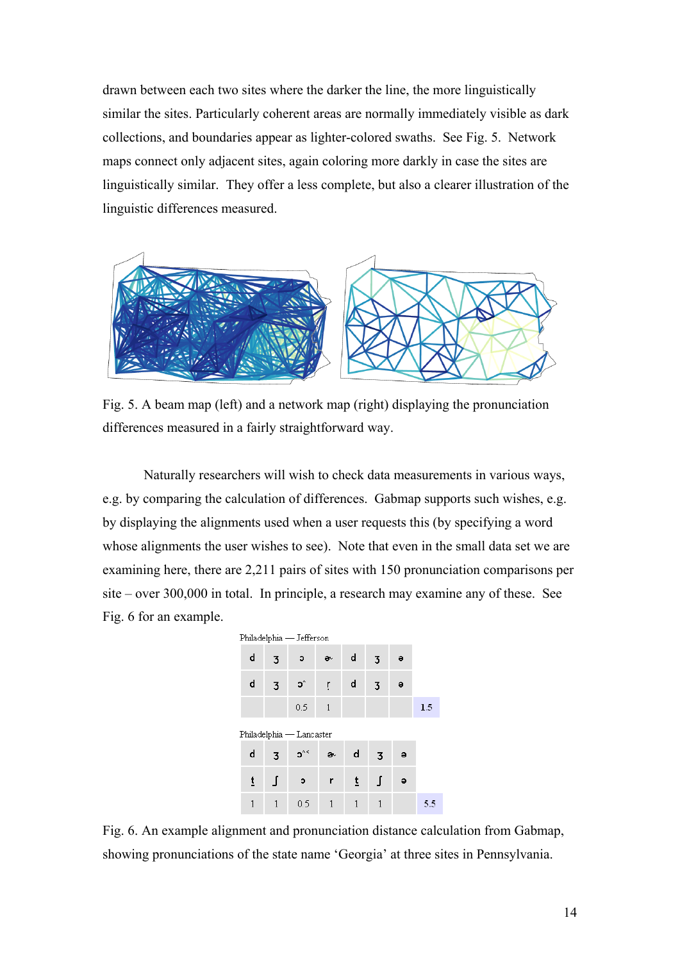drawn between each two sites where the darker the line, the more linguistically similar the sites. Particularly coherent areas are normally immediately visible as dark collections, and boundaries appear as lighter-colored swaths. See Fig. 5. Network maps connect only adjacent sites, again coloring more darkly in case the sites are linguistically similar. They offer a less complete, but also a clearer illustration of the linguistic differences measured.



Fig. 5. A beam map (left) and a network map (right) displaying the pronunciation differences measured in a fairly straightforward way.

Naturally researchers will wish to check data measurements in various ways, e.g. by comparing the calculation of differences. Gabmap supports such wishes, e.g. by displaying the alignments used when a user requests this (by specifying a word whose alignments the user wishes to see). Note that even in the small data set we are examining here, there are 2,211 pairs of sites with 150 pronunciation comparisons per site – over 300,000 in total. In principle, a research may examine any of these. See Fig. 6 for an example.



Fig. 6. An example alignment and pronunciation distance calculation from Gabmap, showing pronunciations of the state name 'Georgia' at three sites in Pennsylvania.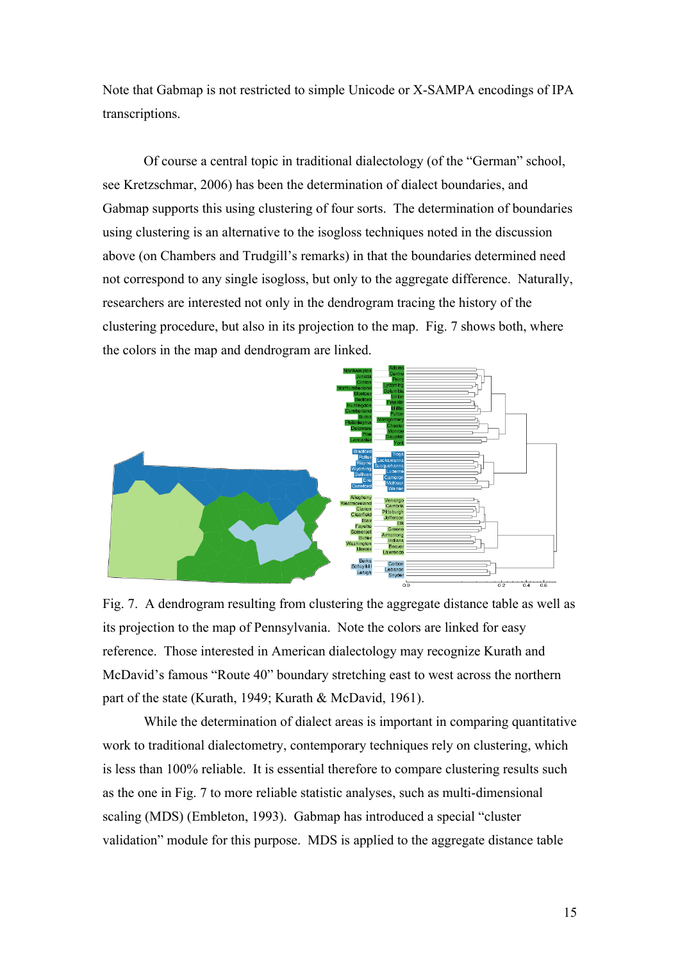Note that Gabmap is not restricted to simple Unicode or X-SAMPA encodings of IPA transcriptions.

Of course a central topic in traditional dialectology (of the "German" school, see Kretzschmar, 2006) has been the determination of dialect boundaries, and Gabmap supports this using clustering of four sorts. The determination of boundaries using clustering is an alternative to the isogloss techniques noted in the discussion above (on Chambers and Trudgill's remarks) in that the boundaries determined need not correspond to any single isogloss, but only to the aggregate difference. Naturally, researchers are interested not only in the dendrogram tracing the history of the clustering procedure, but also in its projection to the map. Fig. 7 shows both, where the colors in the map and dendrogram are linked.



Fig. 7. A dendrogram resulting from clustering the aggregate distance table as well as its projection to the map of Pennsylvania. Note the colors are linked for easy reference. Those interested in American dialectology may recognize Kurath and McDavid's famous "Route 40" boundary stretching east to west across the northern part of the state (Kurath, 1949; Kurath & McDavid, 1961).

While the determination of dialect areas is important in comparing quantitative work to traditional dialectometry, contemporary techniques rely on clustering, which is less than 100% reliable. It is essential therefore to compare clustering results such as the one in Fig. 7 to more reliable statistic analyses, such as multi-dimensional scaling (MDS) (Embleton, 1993). Gabmap has introduced a special "cluster validation" module for this purpose. MDS is applied to the aggregate distance table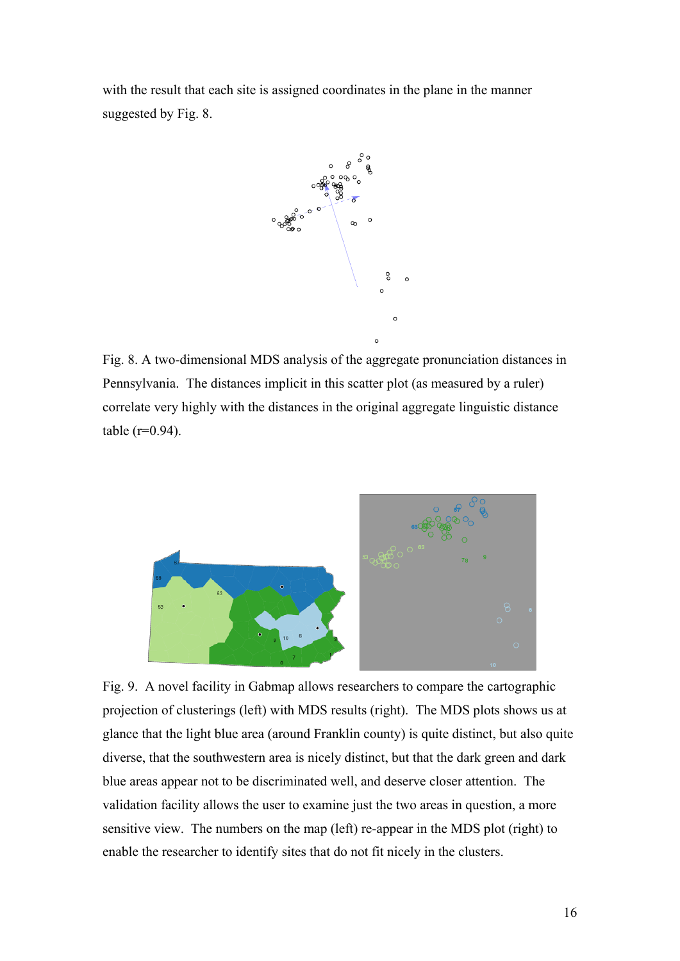with the result that each site is assigned coordinates in the plane in the manner suggested by Fig. 8.



Fig. 8. A two-dimensional MDS analysis of the aggregate pronunciation distances in Pennsylvania. The distances implicit in this scatter plot (as measured by a ruler) correlate very highly with the distances in the original aggregate linguistic distance  $table (r=0.94)$ .



Fig. 9. A novel facility in Gabmap allows researchers to compare the cartographic projection of clusterings (left) with MDS results (right). The MDS plots shows us at glance that the light blue area (around Franklin county) is quite distinct, but also quite diverse, that the southwestern area is nicely distinct, but that the dark green and dark blue areas appear not to be discriminated well, and deserve closer attention. The validation facility allows the user to examine just the two areas in question, a more sensitive view. The numbers on the map (left) re-appear in the MDS plot (right) to enable the researcher to identify sites that do not fit nicely in the clusters.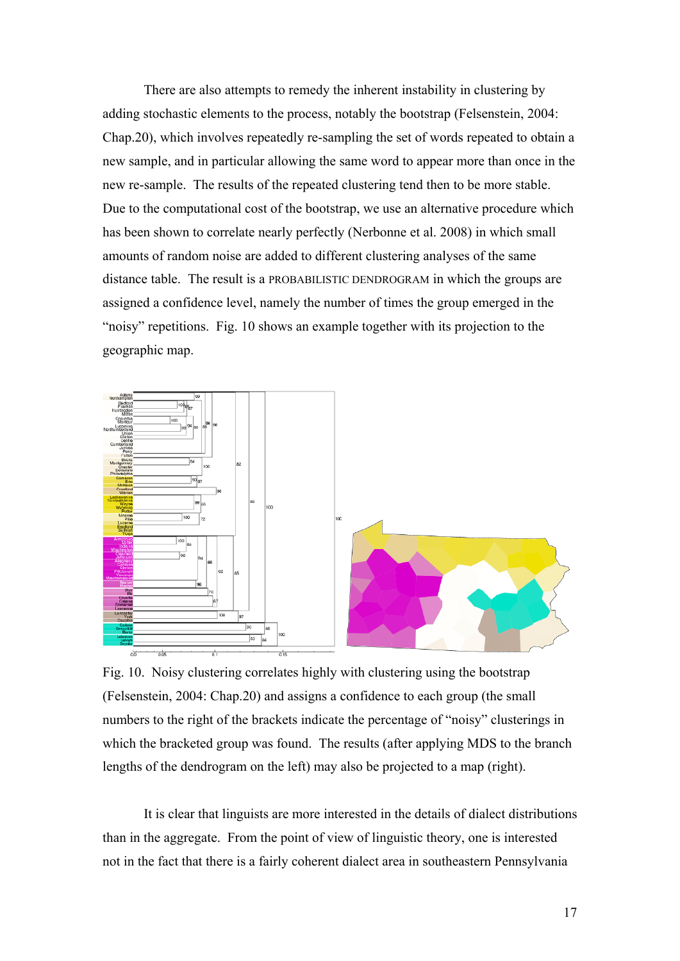There are also attempts to remedy the inherent instability in clustering by adding stochastic elements to the process, notably the bootstrap (Felsenstein, 2004: Chap.20), which involves repeatedly re-sampling the set of words repeated to obtain a new sample, and in particular allowing the same word to appear more than once in the new re-sample. The results of the repeated clustering tend then to be more stable. Due to the computational cost of the bootstrap, we use an alternative procedure which has been shown to correlate nearly perfectly (Nerbonne et al. 2008) in which small amounts of random noise are added to different clustering analyses of the same distance table. The result is a PROBABILISTIC DENDROGRAM in which the groups are assigned a confidence level, namely the number of times the group emerged in the "noisy" repetitions. Fig. 10 shows an example together with its projection to the geographic map.



Fig. 10. Noisy clustering correlates highly with clustering using the bootstrap (Felsenstein, 2004: Chap.20) and assigns a confidence to each group (the small numbers to the right of the brackets indicate the percentage of "noisy" clusterings in which the bracketed group was found. The results (after applying MDS to the branch lengths of the dendrogram on the left) may also be projected to a map (right).

It is clear that linguists are more interested in the details of dialect distributions than in the aggregate. From the point of view of linguistic theory, one is interested not in the fact that there is a fairly coherent dialect area in southeastern Pennsylvania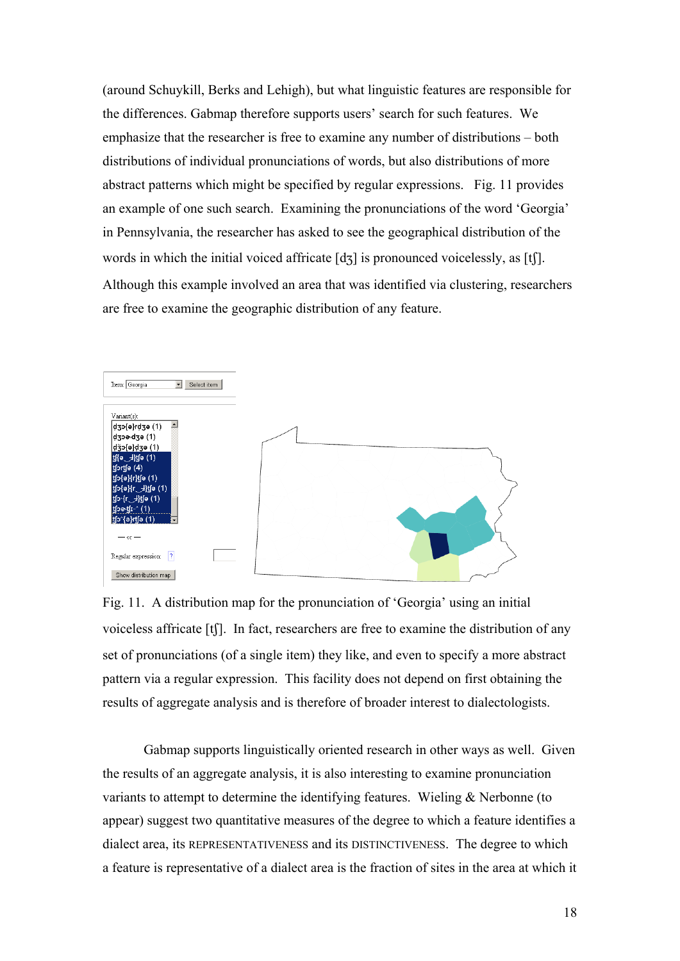(around Schuykill, Berks and Lehigh), but what linguistic features are responsible for the differences. Gabmap therefore supports users' search for such features. We emphasize that the researcher is free to examine any number of distributions – both distributions of individual pronunciations of words, but also distributions of more abstract patterns which might be specified by regular expressions. Fig. 11 provides an example of one such search. Examining the pronunciations of the word 'Georgia' in Pennsylvania, the researcher has asked to see the geographical distribution of the words in which the initial voiced affricate  $[d_3]$  is pronounced voicelessly, as  $[t]$ . Although this example involved an area that was identified via clustering, researchers are free to examine the geographic distribution of any feature.



Fig. 11. A distribution map for the pronunciation of 'Georgia' using an initial voiceless affricate [t]. In fact, researchers are free to examine the distribution of any set of pronunciations (of a single item) they like, and even to specify a more abstract pattern via a regular expression. This facility does not depend on first obtaining the results of aggregate analysis and is therefore of broader interest to dialectologists.

Gabmap supports linguistically oriented research in other ways as well. Given the results of an aggregate analysis, it is also interesting to examine pronunciation variants to attempt to determine the identifying features. Wieling & Nerbonne (to appear) suggest two quantitative measures of the degree to which a feature identifies a dialect area, its REPRESENTATIVENESS and its DISTINCTIVENESS. The degree to which a feature is representative of a dialect area is the fraction of sites in the area at which it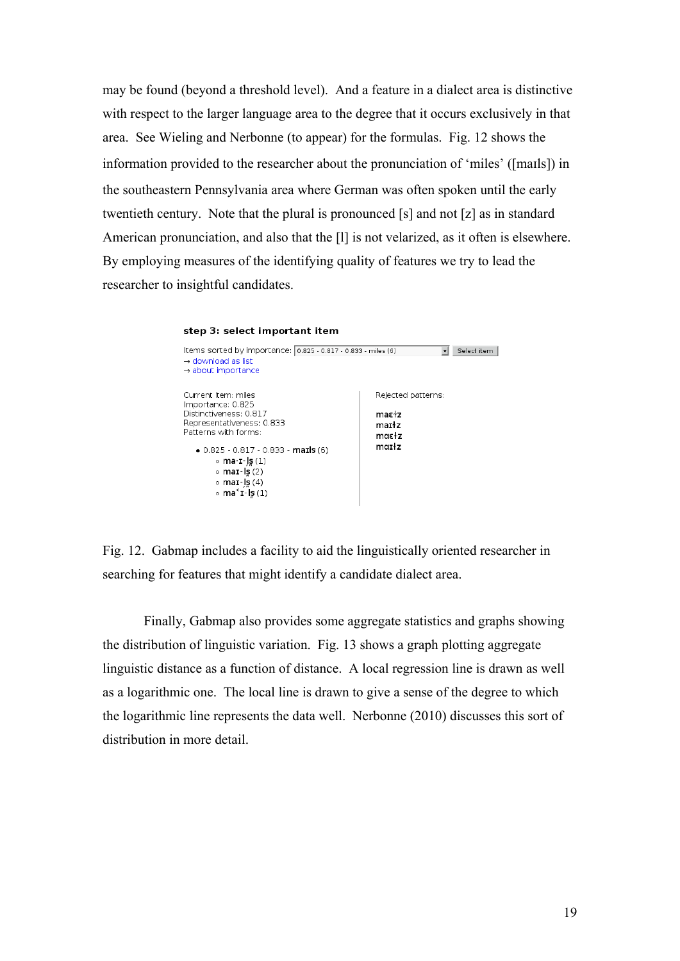may be found (beyond a threshold level). And a feature in a dialect area is distinctive with respect to the larger language area to the degree that it occurs exclusively in that area. See Wieling and Nerbonne (to appear) for the formulas. Fig. 12 shows the information provided to the researcher about the pronunciation of 'miles' ([mals]) in the southeastern Pennsylvania area where German was often spoken until the early twentieth century. Note that the plural is pronounced [s] and not [z] as in standard American pronunciation, and also that the [l] is not velarized, as it often is elsewhere. By employing measures of the identifying quality of features we try to lead the researcher to insightful candidates.

 $\overline{\mathbf{v}}$  Select item

#### step 3: select important item Items sorted by importance: 0.825 - 0.817 - 0.833 - miles (6)  $\rightarrow$  download as list  $\rightarrow$  about importance Current item: miles Rejected patterns: Importance: 0.825 Distinctiveness: 0.817 mar+z

Representativeness: 0.833 marłz Patterns with forms: mαε<sup>1</sup>z  $markz$  $\bullet$  0.825 - 0.817 - 0.833 - marls (6)  $\circ$  ma·ɪ-l̥s (1)  $\circ$  mar- $\overline{\mathsf{ls}}(2)$  $\circ$  maɪ-l̥s̪ (4)  $\circ$  ma<sup>st-1</sup>g(1)

Fig. 12. Gabmap includes a facility to aid the linguistically oriented researcher in searching for features that might identify a candidate dialect area.

Finally, Gabmap also provides some aggregate statistics and graphs showing the distribution of linguistic variation. Fig. 13 shows a graph plotting aggregate linguistic distance as a function of distance. A local regression line is drawn as well as a logarithmic one. The local line is drawn to give a sense of the degree to which the logarithmic line represents the data well. Nerbonne (2010) discusses this sort of distribution in more detail.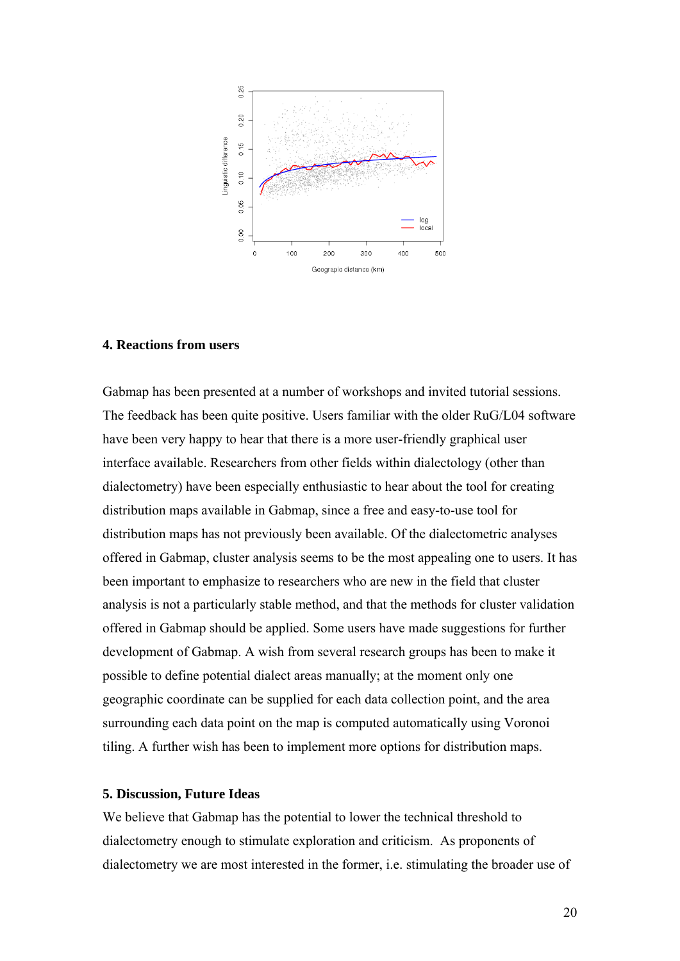

## **4. Reactions from users**

Gabmap has been presented at a number of workshops and invited tutorial sessions. The feedback has been quite positive. Users familiar with the older RuG/L04 software have been very happy to hear that there is a more user-friendly graphical user interface available. Researchers from other fields within dialectology (other than dialectometry) have been especially enthusiastic to hear about the tool for creating distribution maps available in Gabmap, since a free and easy-to-use tool for distribution maps has not previously been available. Of the dialectometric analyses offered in Gabmap, cluster analysis seems to be the most appealing one to users. It has been important to emphasize to researchers who are new in the field that cluster analysis is not a particularly stable method, and that the methods for cluster validation offered in Gabmap should be applied. Some users have made suggestions for further development of Gabmap. A wish from several research groups has been to make it possible to define potential dialect areas manually; at the moment only one geographic coordinate can be supplied for each data collection point, and the area surrounding each data point on the map is computed automatically using Voronoi tiling. A further wish has been to implement more options for distribution maps.

#### **5. Discussion, Future Ideas**

We believe that Gabmap has the potential to lower the technical threshold to dialectometry enough to stimulate exploration and criticism. As proponents of dialectometry we are most interested in the former, i.e. stimulating the broader use of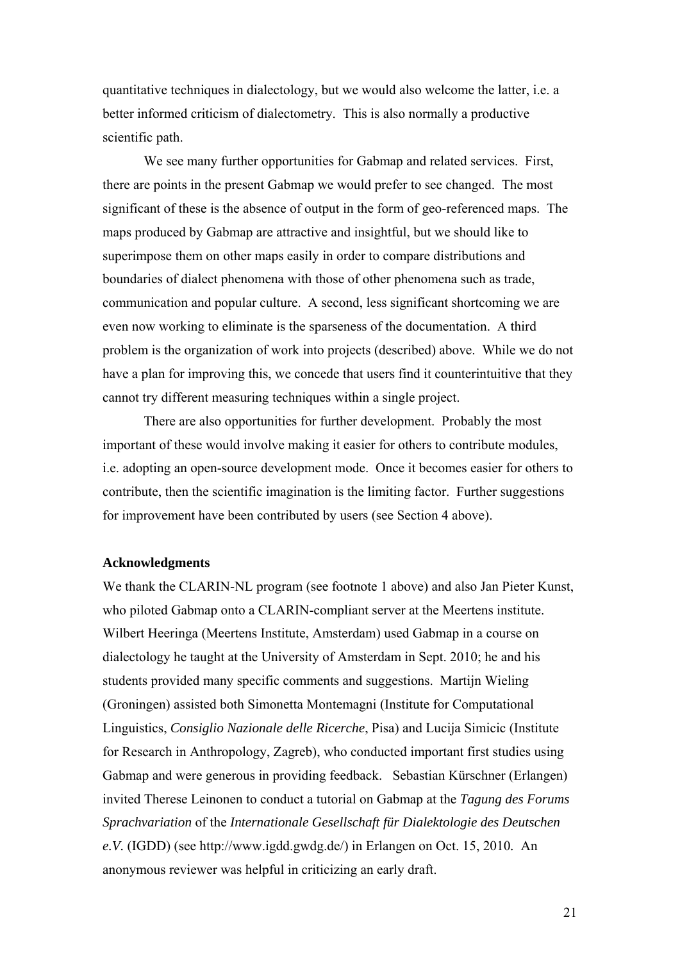quantitative techniques in dialectology, but we would also welcome the latter, i.e. a better informed criticism of dialectometry. This is also normally a productive scientific path.

We see many further opportunities for Gabmap and related services. First, there are points in the present Gabmap we would prefer to see changed. The most significant of these is the absence of output in the form of geo-referenced maps. The maps produced by Gabmap are attractive and insightful, but we should like to superimpose them on other maps easily in order to compare distributions and boundaries of dialect phenomena with those of other phenomena such as trade, communication and popular culture. A second, less significant shortcoming we are even now working to eliminate is the sparseness of the documentation. A third problem is the organization of work into projects (described) above. While we do not have a plan for improving this, we concede that users find it counterintuitive that they cannot try different measuring techniques within a single project.

There are also opportunities for further development. Probably the most important of these would involve making it easier for others to contribute modules, i.e. adopting an open-source development mode. Once it becomes easier for others to contribute, then the scientific imagination is the limiting factor. Further suggestions for improvement have been contributed by users (see Section 4 above).

#### **Acknowledgments**

We thank the CLARIN-NL program (see footnote 1 above) and also Jan Pieter Kunst, who piloted Gabmap onto a CLARIN-compliant server at the Meertens institute. Wilbert Heeringa (Meertens Institute, Amsterdam) used Gabmap in a course on dialectology he taught at the University of Amsterdam in Sept. 2010; he and his students provided many specific comments and suggestions. Martijn Wieling (Groningen) assisted both Simonetta Montemagni (Institute for Computational Linguistics, *Consiglio Nazionale delle Ricerche*, Pisa) and Lucija Simicic (Institute for Research in Anthropology, Zagreb), who conducted important first studies using Gabmap and were generous in providing feedback. Sebastian Kürschner (Erlangen) invited Therese Leinonen to conduct a tutorial on Gabmap at the *Tagung des Forums Sprachvariation* of the *Internationale Gesellschaft für Dialektologie des Deutschen e.V.* (IGDD) (see http://www.igdd.gwdg.de/) in Erlangen on Oct. 15, 2010*.* An anonymous reviewer was helpful in criticizing an early draft.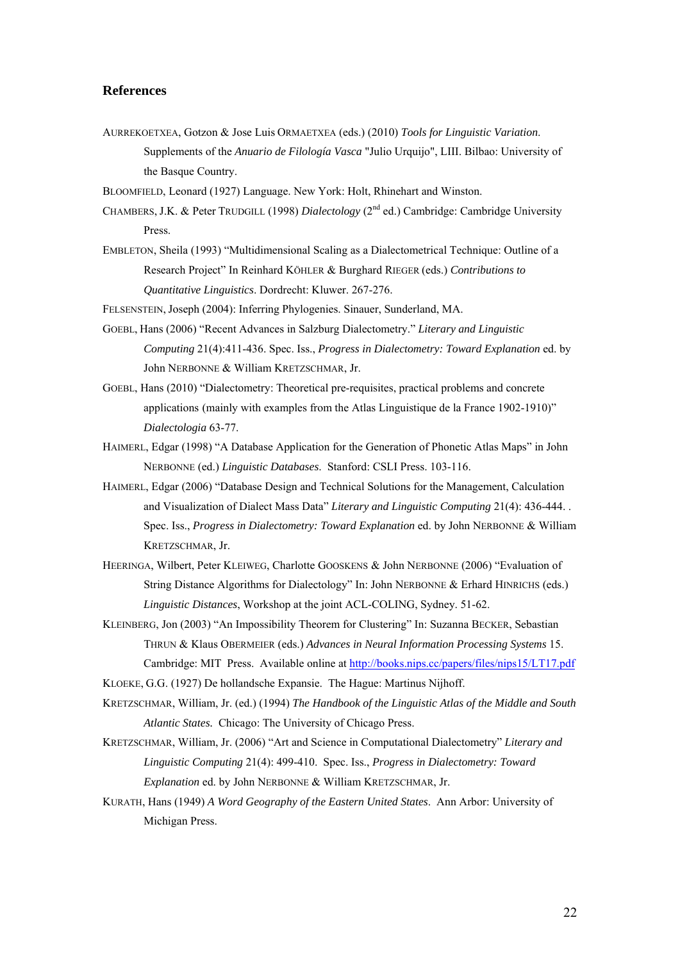### **References**

- AURREKOETXEA, Gotzon & Jose Luis ORMAETXEA (eds.) (2010) *Tools for Linguistic Variation*. Supplements of the *Anuario de Filología Vasca* "Julio Urquijo", LIII. Bilbao: University of the Basque Country.
- BLOOMFIELD, Leonard (1927) Language. New York: Holt, Rhinehart and Winston.
- CHAMBERS, J.K. & Peter TRUDGILL (1998) *Dialectology* (2nd ed.) Cambridge: Cambridge University Press.
- EMBLETON, Sheila (1993) "Multidimensional Scaling as a Dialectometrical Technique: Outline of a Research Project" In Reinhard KÖHLER & Burghard RIEGER (eds.) *Contributions to Quantitative Linguistics*. Dordrecht: Kluwer. 267-276.
- FELSENSTEIN, Joseph (2004): Inferring Phylogenies. Sinauer, Sunderland, MA.
- GOEBL, Hans (2006) "Recent Advances in Salzburg Dialectometry." *Literary and Linguistic Computing* 21(4):411-436. Spec. Iss., *Progress in Dialectometry: Toward Explanation* ed. by John NERBONNE & William KRETZSCHMAR, Jr.
- GOEBL, Hans (2010) "Dialectometry: Theoretical pre-requisites, practical problems and concrete applications (mainly with examples from the Atlas Linguistique de la France 1902-1910)" *Dialectologia* 63-77.
- HAIMERL, Edgar (1998) "A Database Application for the Generation of Phonetic Atlas Maps" in John NERBONNE (ed.) *Linguistic Databases*. Stanford: CSLI Press. 103-116.
- HAIMERL, Edgar (2006) "Database Design and Technical Solutions for the Management, Calculation and Visualization of Dialect Mass Data" *Literary and Linguistic Computing* 21(4): 436-444. . Spec. Iss., *Progress in Dialectometry: Toward Explanation* ed. by John NERBONNE & William KRETZSCHMAR, Jr.
- HEERINGA, Wilbert, Peter KLEIWEG, Charlotte GOOSKENS & John NERBONNE (2006) "Evaluation of String Distance Algorithms for Dialectology" In: John NERBONNE & Erhard HINRICHS (eds.) *Linguistic Distances*, Workshop at the joint ACL-COLING, Sydney. 51-62.
- KLEINBERG, Jon (2003) "An Impossibility Theorem for Clustering" In: Suzanna BECKER, Sebastian THRUN & Klaus OBERMEIER (eds.) *Advances in Neural Information Processing Systems* 15. Cambridge: MIT Press. Available online at<http://books.nips.cc/papers/files/nips15/LT17.pdf>

KLOEKE, G.G. (1927) De hollandsche Expansie. The Hague: Martinus Nijhoff.

- KRETZSCHMAR, William, Jr. (ed.) (1994) *The Handbook of the Linguistic Atlas of the Middle and South Atlantic States.* Chicago: The University of Chicago Press.
- KRETZSCHMAR, William, Jr. (2006) "Art and Science in Computational Dialectometry" *Literary and Linguistic Computing* 21(4): 499-410. Spec. Iss., *Progress in Dialectometry: Toward Explanation* ed. by John NERBONNE & William KRETZSCHMAR, Jr.
- KURATH, Hans (1949) *A Word Geography of the Eastern United States*. Ann Arbor: University of Michigan Press.